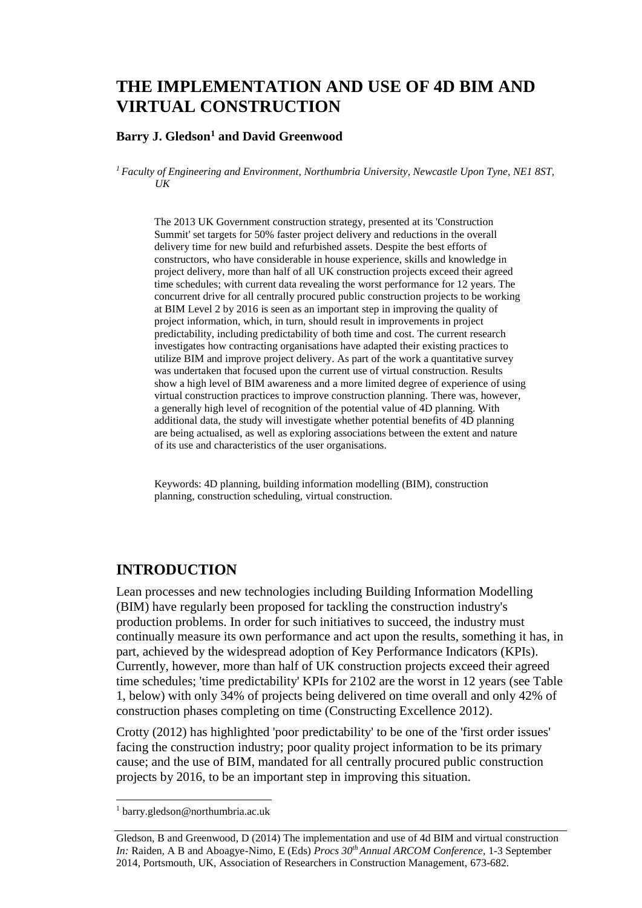# **THE IMPLEMENTATION AND USE OF 4D BIM AND VIRTUAL CONSTRUCTION**

### **Barry J. Gledson<sup>1</sup> and David Greenwood**

*<sup>1</sup>Faculty of Engineering and Environment, Northumbria University, Newcastle Upon Tyne, NE1 8ST, UK*

The 2013 UK Government construction strategy, presented at its 'Construction Summit' set targets for 50% faster project delivery and reductions in the overall delivery time for new build and refurbished assets. Despite the best efforts of constructors, who have considerable in house experience, skills and knowledge in project delivery, more than half of all UK construction projects exceed their agreed time schedules; with current data revealing the worst performance for 12 years. The concurrent drive for all centrally procured public construction projects to be working at BIM Level 2 by 2016 is seen as an important step in improving the quality of project information, which, in turn, should result in improvements in project predictability, including predictability of both time and cost. The current research investigates how contracting organisations have adapted their existing practices to utilize BIM and improve project delivery. As part of the work a quantitative survey was undertaken that focused upon the current use of virtual construction. Results show a high level of BIM awareness and a more limited degree of experience of using virtual construction practices to improve construction planning. There was, however, a generally high level of recognition of the potential value of 4D planning. With additional data, the study will investigate whether potential benefits of 4D planning are being actualised, as well as exploring associations between the extent and nature of its use and characteristics of the user organisations.

Keywords: 4D planning, building information modelling (BIM), construction planning, construction scheduling, virtual construction.

## **INTRODUCTION**

Lean processes and new technologies including Building Information Modelling (BIM) have regularly been proposed for tackling the construction industry's production problems. In order for such initiatives to succeed, the industry must continually measure its own performance and act upon the results, something it has, in part, achieved by the widespread adoption of Key Performance Indicators (KPIs). Currently, however, more than half of UK construction projects exceed their agreed time schedules; 'time predictability' KPIs for 2102 are the worst in 12 years (see Table 1, below) with only 34% of projects being delivered on time overall and only 42% of construction phases completing on time (Constructing Excellence 2012).

Crotty (2012) has highlighted 'poor predictability' to be one of the 'first order issues' facing the construction industry; poor quality project information to be its primary cause; and the use of BIM, mandated for all centrally procured public construction projects by 2016, to be an important step in improving this situation.

<sup>1</sup> barry.gledson@northumbria.ac.uk

Gledson, B and Greenwood, D (2014) The implementation and use of 4d BIM and virtual construction *In:* Raiden, A B and Aboagye-Nimo, E (Eds) *Procs 30th Annual ARCOM Conference,* 1-3 September 2014, Portsmouth, UK, Association of Researchers in Construction Management, 673[-682.](#page-9-0)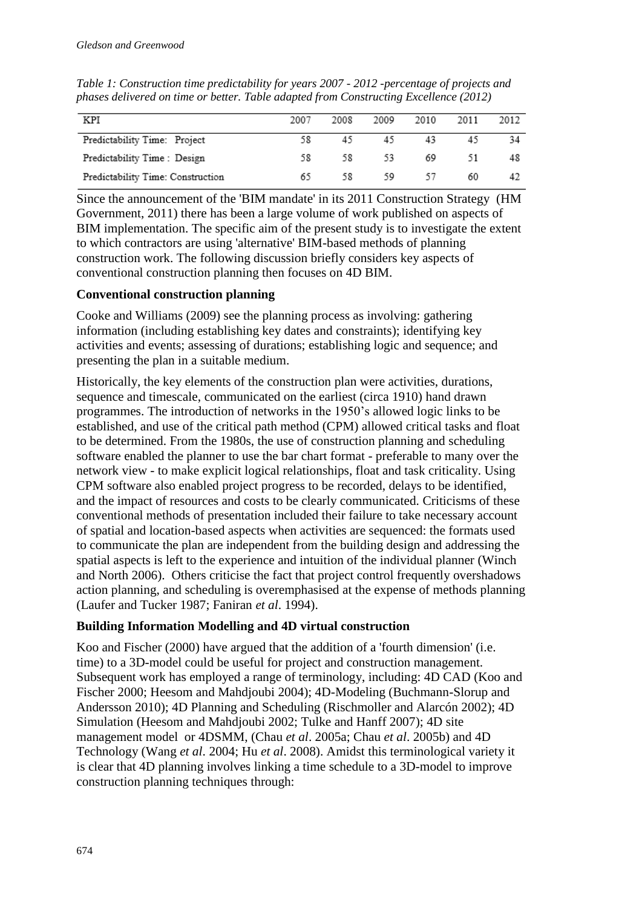| KPI                               | 2007 | 2008 | 2009 | 2010 | 2011 | 2012 |
|-----------------------------------|------|------|------|------|------|------|
| Predictability Time: Project      | 58   | 45   | 45   | 43   | 45   | 34   |
| Predictability Time : Design      | 58   | 58   | 53   | 69   |      |      |
| Predictability Time: Construction | 65   | 58   | 59   | 57   | 60   |      |

*Table 1: Construction time predictability for years 2007 - 2012 -percentage of projects and phases delivered on time or better. Table adapted from Constructing Excellence (2012)* 

Since the announcement of the 'BIM mandate' in its 2011 Construction Strategy (HM Government, 2011) there has been a large volume of work published on aspects of BIM implementation. The specific aim of the present study is to investigate the extent to which contractors are using 'alternative' BIM-based methods of planning construction work. The following discussion briefly considers key aspects of conventional construction planning then focuses on 4D BIM.

### **Conventional construction planning**

Cooke and Williams (2009) see the planning process as involving: gathering information (including establishing key dates and constraints); identifying key activities and events; assessing of durations; establishing logic and sequence; and presenting the plan in a suitable medium.

Historically, the key elements of the construction plan were activities, durations, sequence and timescale, communicated on the earliest (circa 1910) hand drawn programmes. The introduction of networks in the 1950's allowed logic links to be established, and use of the critical path method (CPM) allowed critical tasks and float to be determined. From the 1980s, the use of construction planning and scheduling software enabled the planner to use the bar chart format - preferable to many over the network view - to make explicit logical relationships, float and task criticality. Using CPM software also enabled project progress to be recorded, delays to be identified, and the impact of resources and costs to be clearly communicated. Criticisms of these conventional methods of presentation included their failure to take necessary account of spatial and location-based aspects when activities are sequenced: the formats used to communicate the plan are independent from the building design and addressing the spatial aspects is left to the experience and intuition of the individual planner (Winch and North 2006). Others criticise the fact that project control frequently overshadows action planning, and scheduling is overemphasised at the expense of methods planning (Laufer and Tucker 1987; Faniran *et al*. 1994).

## **Building Information Modelling and 4D virtual construction**

Koo and Fischer (2000) have argued that the addition of a 'fourth dimension' (i.e. time) to a 3D-model could be useful for project and construction management. Subsequent work has employed a range of terminology, including: 4D CAD (Koo and Fischer 2000; Heesom and Mahdjoubi 2004); 4D-Modeling (Buchmann-Slorup and Andersson 2010); 4D Planning and Scheduling (Rischmoller and Alarcón 2002); 4D Simulation (Heesom and Mahdjoubi 2002; Tulke and Hanff 2007); 4D site management model or 4DSMM, (Chau *et al*. 2005a; Chau *et al*. 2005b) and 4D Technology (Wang *et al*. 2004; Hu *et al*. 2008). Amidst this terminological variety it is clear that 4D planning involves linking a time schedule to a 3D-model to improve construction planning techniques through: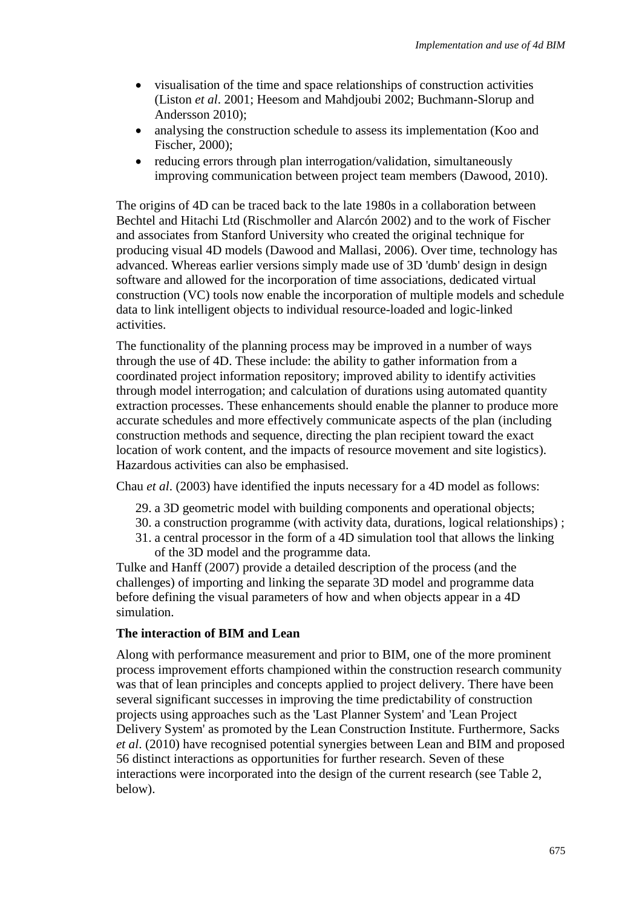- visualisation of the time and space relationships of construction activities (Liston *et al*. 2001; Heesom and Mahdjoubi 2002; Buchmann-Slorup and Andersson 2010);
- analysing the construction schedule to assess its implementation (Koo and Fischer, 2000);
- reducing errors through plan interrogation/validation, simultaneously improving communication between project team members (Dawood, 2010).

The origins of 4D can be traced back to the late 1980s in a collaboration between Bechtel and Hitachi Ltd (Rischmoller and Alarcón 2002) and to the work of Fischer and associates from Stanford University who created the original technique for producing visual 4D models (Dawood and Mallasi, 2006). Over time, technology has advanced. Whereas earlier versions simply made use of 3D 'dumb' design in design software and allowed for the incorporation of time associations, dedicated virtual construction (VC) tools now enable the incorporation of multiple models and schedule data to link intelligent objects to individual resource-loaded and logic-linked activities.

The functionality of the planning process may be improved in a number of ways through the use of 4D. These include: the ability to gather information from a coordinated project information repository; improved ability to identify activities through model interrogation; and calculation of durations using automated quantity extraction processes. These enhancements should enable the planner to produce more accurate schedules and more effectively communicate aspects of the plan (including construction methods and sequence, directing the plan recipient toward the exact location of work content, and the impacts of resource movement and site logistics). Hazardous activities can also be emphasised.

Chau *et al*. (2003) have identified the inputs necessary for a 4D model as follows:

- 29. a 3D geometric model with building components and operational objects;
- 30. a construction programme (with activity data, durations, logical relationships) ;
- 31. a central processor in the form of a 4D simulation tool that allows the linking of the 3D model and the programme data.

Tulke and Hanff (2007) provide a detailed description of the process (and the challenges) of importing and linking the separate 3D model and programme data before defining the visual parameters of how and when objects appear in a 4D simulation.

### **The interaction of BIM and Lean**

Along with performance measurement and prior to BIM, one of the more prominent process improvement efforts championed within the construction research community was that of lean principles and concepts applied to project delivery. There have been several significant successes in improving the time predictability of construction projects using approaches such as the 'Last Planner System' and 'Lean Project Delivery System' as promoted by the Lean Construction Institute. Furthermore, Sacks *et al*. (2010) have recognised potential synergies between Lean and BIM and proposed 56 distinct interactions as opportunities for further research. Seven of these interactions were incorporated into the design of the current research (see Table 2, below).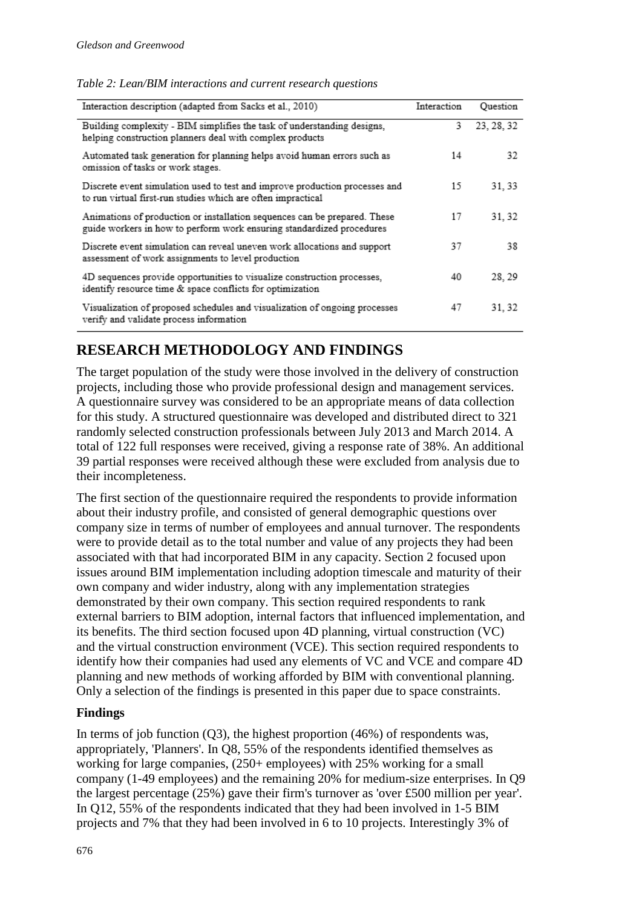| Interaction description (adapted from Sacks et al., 2010)                                                                                          | Interaction | Ouestion   |
|----------------------------------------------------------------------------------------------------------------------------------------------------|-------------|------------|
| Building complexity - BIM simplifies the task of understanding designs,<br>helping construction planners deal with complex products                | 3.          | 23, 28, 32 |
| Automated task generation for planning helps avoid human errors such as<br>omission of tasks or work stages.                                       | 14          | 32         |
| Discrete event simulation used to test and improve production processes and<br>to run virtual first-run studies which are often impractical        | 15          | 31.33      |
| Animations of production or installation sequences can be prepared. These<br>guide workers in how to perform work ensuring standardized procedures | 17          | 31, 32     |
| Discrete event simulation can reveal uneven work allocations and support<br>assessment of work assignments to level production                     | 37          | 38         |
| 4D sequences provide opportunities to visualize construction processes,<br>identify resource time & space conflicts for optimization               | 40          | 28.29      |
| Visualization of proposed schedules and visualization of ongoing processes<br>verify and validate process information                              | 47          | 31, 32     |

*Table 2: Lean/BIM interactions and current research questions* 

## **RESEARCH METHODOLOGY AND FINDINGS**

The target population of the study were those involved in the delivery of construction projects, including those who provide professional design and management services. A questionnaire survey was considered to be an appropriate means of data collection for this study. A structured questionnaire was developed and distributed direct to 321 randomly selected construction professionals between July 2013 and March 2014. A total of 122 full responses were received, giving a response rate of 38%. An additional 39 partial responses were received although these were excluded from analysis due to their incompleteness.

The first section of the questionnaire required the respondents to provide information about their industry profile, and consisted of general demographic questions over company size in terms of number of employees and annual turnover. The respondents were to provide detail as to the total number and value of any projects they had been associated with that had incorporated BIM in any capacity. Section 2 focused upon issues around BIM implementation including adoption timescale and maturity of their own company and wider industry, along with any implementation strategies demonstrated by their own company. This section required respondents to rank external barriers to BIM adoption, internal factors that influenced implementation, and its benefits. The third section focused upon 4D planning, virtual construction (VC) and the virtual construction environment (VCE). This section required respondents to identify how their companies had used any elements of VC and VCE and compare 4D planning and new methods of working afforded by BIM with conventional planning. Only a selection of the findings is presented in this paper due to space constraints.

## **Findings**

In terms of job function (Q3), the highest proportion (46%) of respondents was, appropriately, 'Planners'. In Q8, 55% of the respondents identified themselves as working for large companies, (250+ employees) with 25% working for a small company (1-49 employees) and the remaining 20% for medium-size enterprises. In Q9 the largest percentage (25%) gave their firm's turnover as 'over £500 million per year'. In Q12, 55% of the respondents indicated that they had been involved in 1-5 BIM projects and 7% that they had been involved in 6 to 10 projects. Interestingly 3% of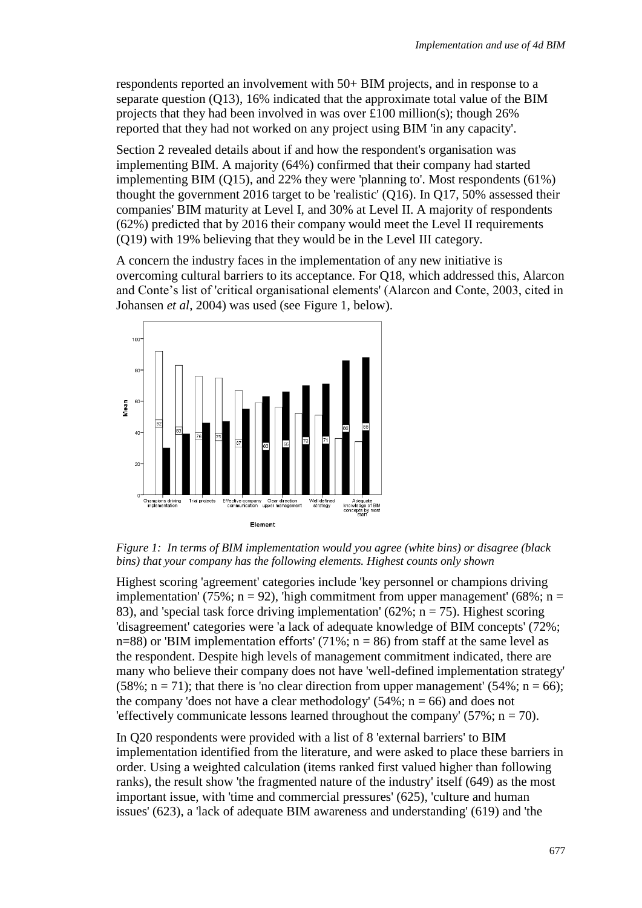respondents reported an involvement with 50+ BIM projects, and in response to a separate question (Q13), 16% indicated that the approximate total value of the BIM projects that they had been involved in was over £100 million(s); though 26% reported that they had not worked on any project using BIM 'in any capacity'.

Section 2 revealed details about if and how the respondent's organisation was implementing BIM. A majority (64%) confirmed that their company had started implementing BIM (Q15), and 22% they were 'planning to'. Most respondents (61%) thought the government 2016 target to be 'realistic' (Q16). In Q17, 50% assessed their companies' BIM maturity at Level I, and 30% at Level II. A majority of respondents (62%) predicted that by 2016 their company would meet the Level II requirements (Q19) with 19% believing that they would be in the Level III category.

A concern the industry faces in the implementation of any new initiative is overcoming cultural barriers to its acceptance. For Q18, which addressed this, Alarcon and Conte's list of 'critical organisational elements' (Alarcon and Conte, 2003, cited in Johansen *et al*, 2004) was used (see Figure 1, below).



*Figure 1: In terms of BIM implementation would you agree (white bins) or disagree (black bins) that your company has the following elements. Highest counts only shown* 

Highest scoring 'agreement' categories include 'key personnel or champions driving implementation' (75%;  $n = 92$ ), 'high commitment from upper management' (68%;  $n =$ 83), and 'special task force driving implementation' (62%;  $n = 75$ ). Highest scoring 'disagreement' categories were 'a lack of adequate knowledge of BIM concepts' (72%; n=88) or 'BIM implementation efforts'  $(71\%; n = 86)$  from staff at the same level as the respondent. Despite high levels of management commitment indicated, there are many who believe their company does not have 'well-defined implementation strategy'  $(58\%; n = 71)$ ; that there is 'no clear direction from upper management'  $(54\%; n = 66)$ ; the company 'does not have a clear methodology'  $(54\%; n = 66)$  and does not 'effectively communicate lessons learned throughout the company'  $(57\%; n = 70)$ .

In Q20 respondents were provided with a list of 8 'external barriers' to BIM implementation identified from the literature, and were asked to place these barriers in order. Using a weighted calculation (items ranked first valued higher than following ranks), the result show 'the fragmented nature of the industry' itself (649) as the most important issue, with 'time and commercial pressures' (625), 'culture and human issues' (623), a 'lack of adequate BIM awareness and understanding' (619) and 'the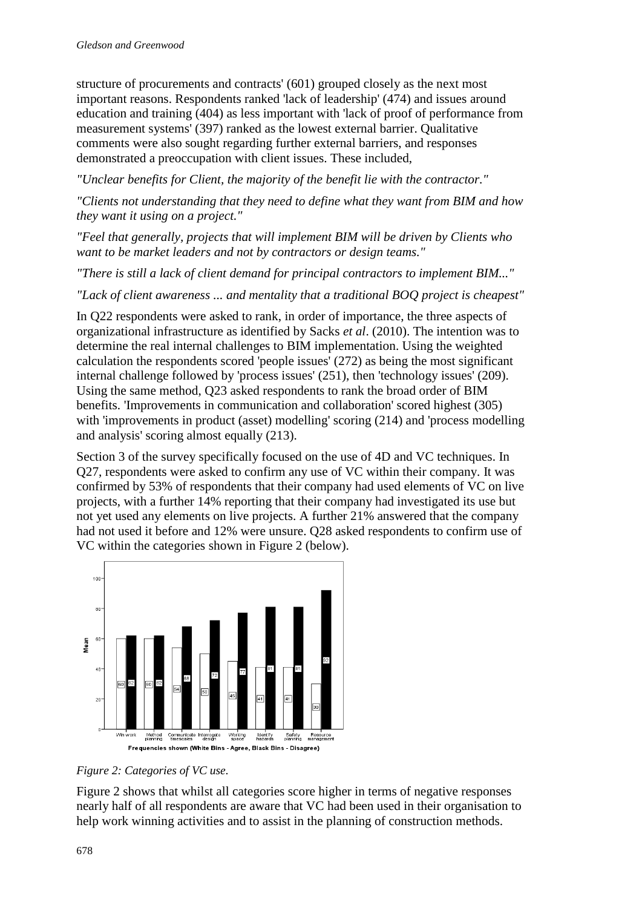structure of procurements and contracts' (601) grouped closely as the next most important reasons. Respondents ranked 'lack of leadership' (474) and issues around education and training (404) as less important with 'lack of proof of performance from measurement systems' (397) ranked as the lowest external barrier. Qualitative comments were also sought regarding further external barriers, and responses demonstrated a preoccupation with client issues. These included,

*"Unclear benefits for Client, the majority of the benefit lie with the contractor."* 

*"Clients not understanding that they need to define what they want from BIM and how they want it using on a project."* 

*"Feel that generally, projects that will implement BIM will be driven by Clients who want to be market leaders and not by contractors or design teams."* 

*"There is still a lack of client demand for principal contractors to implement BIM..."* 

*"Lack of client awareness ... and mentality that a traditional BOQ project is cheapest"* 

In Q22 respondents were asked to rank, in order of importance, the three aspects of organizational infrastructure as identified by Sacks *et al*. (2010). The intention was to determine the real internal challenges to BIM implementation. Using the weighted calculation the respondents scored 'people issues' (272) as being the most significant internal challenge followed by 'process issues' (251), then 'technology issues' (209). Using the same method, Q23 asked respondents to rank the broad order of BIM benefits. 'Improvements in communication and collaboration' scored highest (305) with 'improvements in product (asset) modelling' scoring (214) and 'process modelling and analysis' scoring almost equally (213).

Section 3 of the survey specifically focused on the use of 4D and VC techniques. In Q27, respondents were asked to confirm any use of VC within their company. It was confirmed by 53% of respondents that their company had used elements of VC on live projects, with a further 14% reporting that their company had investigated its use but not yet used any elements on live projects. A further 21% answered that the company had not used it before and 12% were unsure. Q28 asked respondents to confirm use of VC within the categories shown in Figure 2 (below).





Figure 2 shows that whilst all categories score higher in terms of negative responses nearly half of all respondents are aware that VC had been used in their organisation to help work winning activities and to assist in the planning of construction methods.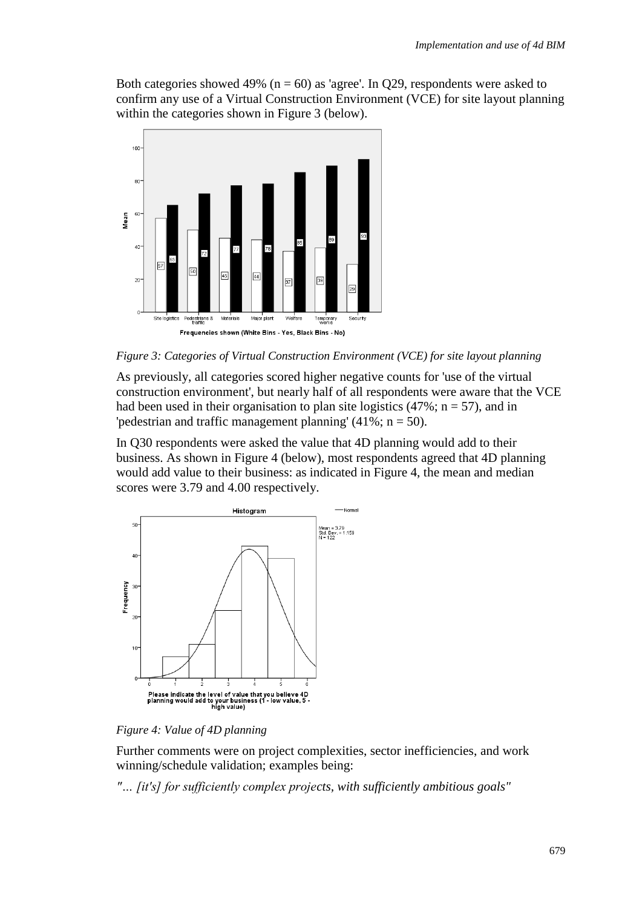Both categories showed 49% ( $n = 60$ ) as 'agree'. In Q29, respondents were asked to confirm any use of a Virtual Construction Environment (VCE) for site layout planning within the categories shown in Figure 3 (below).



#### *Figure 3: Categories of Virtual Construction Environment (VCE) for site layout planning*

As previously, all categories scored higher negative counts for 'use of the virtual construction environment', but nearly half of all respondents were aware that the VCE had been used in their organisation to plan site logistics  $(47\%; n = 57)$ , and in 'pedestrian and traffic management planning'  $(41\%; n = 50)$ .

In Q30 respondents were asked the value that 4D planning would add to their business. As shown in Figure 4 (below), most respondents agreed that 4D planning would add value to their business: as indicated in Figure 4, the mean and median scores were 3.79 and 4.00 respectively.



### *Figure 4: Value of 4D planning*

Further comments were on project complexities, sector inefficiencies, and work winning/schedule validation; examples being:

*"… [it's] for sufficiently complex projects, with sufficiently ambitious goals"*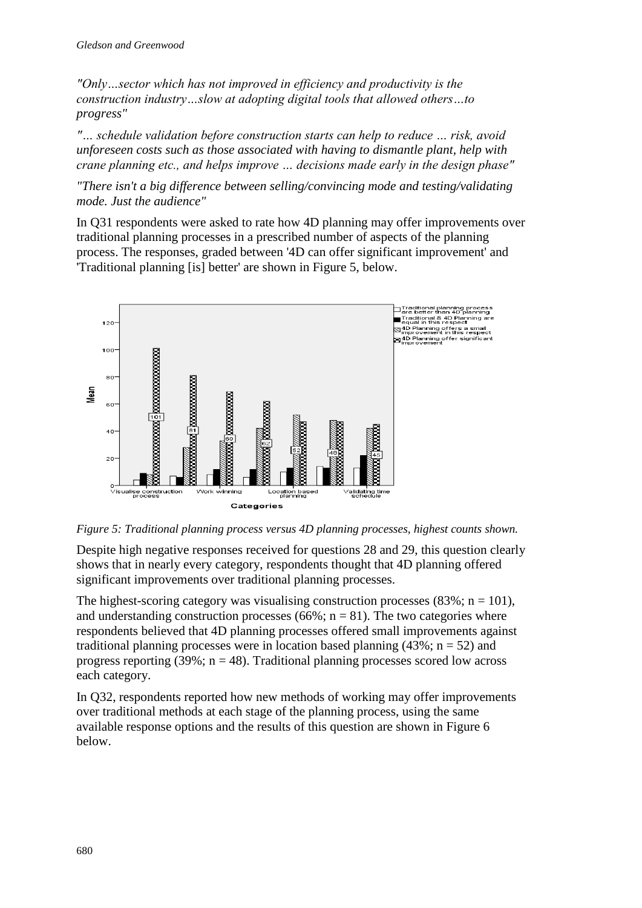*"Only…sector which has not improved in efficiency and productivity is the construction industry…slow at adopting digital tools that allowed others…to progress"* 

*"… schedule validation before construction starts can help to reduce … risk, avoid unforeseen costs such as those associated with having to dismantle plant, help with crane planning etc., and helps improve … decisions made early in the design phase"*

*"There isn't a big difference between selling/convincing mode and testing/validating mode. Just the audience"* 

In Q31 respondents were asked to rate how 4D planning may offer improvements over traditional planning processes in a prescribed number of aspects of the planning process. The responses, graded between '4D can offer significant improvement' and 'Traditional planning [is] better' are shown in Figure 5, below.





Despite high negative responses received for questions 28 and 29, this question clearly shows that in nearly every category, respondents thought that 4D planning offered significant improvements over traditional planning processes.

The highest-scoring category was visualising construction processes  $(83\%; n = 101)$ , and understanding construction processes (66%;  $n = 81$ ). The two categories where respondents believed that 4D planning processes offered small improvements against traditional planning processes were in location based planning  $(43\%; n = 52)$  and progress reporting  $(39\%; n = 48)$ . Traditional planning processes scored low across each category.

In Q32, respondents reported how new methods of working may offer improvements over traditional methods at each stage of the planning process, using the same available response options and the results of this question are shown in Figure 6 below.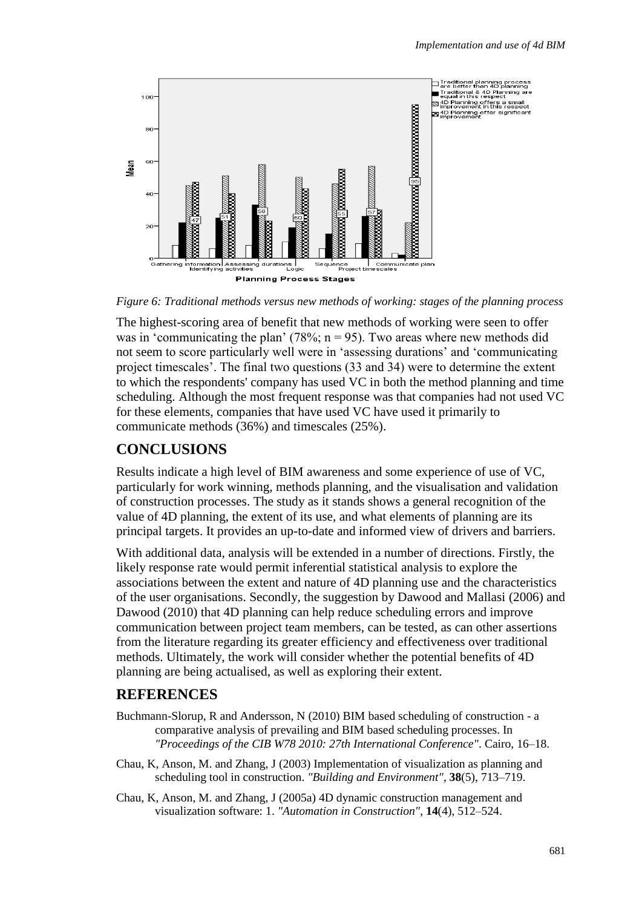

*Figure 6: Traditional methods versus new methods of working: stages of the planning process*

The highest-scoring area of benefit that new methods of working were seen to offer was in 'communicating the plan' (78%;  $n = 95$ ). Two areas where new methods did not seem to score particularly well were in 'assessing durations' and 'communicating project timescales'. The final two questions (33 and 34) were to determine the extent to which the respondents' company has used VC in both the method planning and time scheduling. Although the most frequent response was that companies had not used VC for these elements, companies that have used VC have used it primarily to communicate methods (36%) and timescales (25%).

## **CONCLUSIONS**

Results indicate a high level of BIM awareness and some experience of use of VC, particularly for work winning, methods planning, and the visualisation and validation of construction processes. The study as it stands shows a general recognition of the value of 4D planning, the extent of its use, and what elements of planning are its principal targets. It provides an up-to-date and informed view of drivers and barriers.

With additional data, analysis will be extended in a number of directions. Firstly, the likely response rate would permit inferential statistical analysis to explore the associations between the extent and nature of 4D planning use and the characteristics of the user organisations. Secondly, the suggestion by Dawood and Mallasi (2006) and Dawood (2010) that 4D planning can help reduce scheduling errors and improve communication between project team members, can be tested, as can other assertions from the literature regarding its greater efficiency and effectiveness over traditional methods. Ultimately, the work will consider whether the potential benefits of 4D planning are being actualised, as well as exploring their extent.

## **REFERENCES**

- Buchmann-Slorup, R and Andersson, N (2010) BIM based scheduling of construction a comparative analysis of prevailing and BIM based scheduling processes. In *"Proceedings of the CIB W78 2010: 27th International Conference"*. Cairo, 16–18.
- Chau, K, Anson, M. and Zhang, J (2003) Implementation of visualization as planning and scheduling tool in construction. *"Building and Environment"*, **38**(5), 713–719.
- Chau, K, Anson, M. and Zhang, J (2005a) 4D dynamic construction management and visualization software: 1. *"Automation in Construction"*, **14**(4), 512–524.